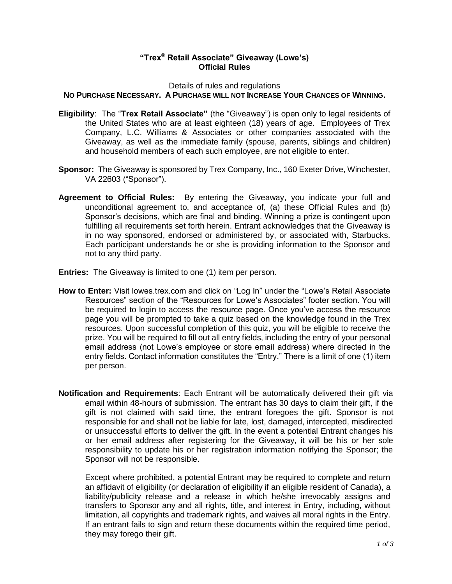## **"Trex® Retail Associate" Giveaway (Lowe's) Official Rules**

Details of rules and regulations

## **NO PURCHASE NECESSARY. A PURCHASE WILL NOT INCREASE YOUR CHANCES OF WINNING.**

- **Eligibility**: The "**Trex Retail Associate"** (the "Giveaway") is open only to legal residents of the United States who are at least eighteen (18) years of age. Employees of Trex Company, L.C. Williams & Associates or other companies associated with the Giveaway, as well as the immediate family (spouse, parents, siblings and children) and household members of each such employee, are not eligible to enter.
- **Sponsor:** The Giveaway is sponsored by Trex Company, Inc., 160 Exeter Drive, Winchester, VA 22603 ("Sponsor").
- **Agreement to Official Rules:** By entering the Giveaway, you indicate your full and unconditional agreement to, and acceptance of, (a) these Official Rules and (b) Sponsor's decisions, which are final and binding. Winning a prize is contingent upon fulfilling all requirements set forth herein. Entrant acknowledges that the Giveaway is in no way sponsored, endorsed or administered by, or associated with, Starbucks. Each participant understands he or she is providing information to the Sponsor and not to any third party.
- **Entries:** The Giveaway is limited to one (1) item per person.
- **How to Enter:** Visit lowes.trex.com and click on "Log In" under the "Lowe's Retail Associate Resources" section of the "Resources for Lowe's Associates" footer section. You will be required to login to access the resource page. Once you've access the resource page you will be prompted to take a quiz based on the knowledge found in the Trex resources. Upon successful completion of this quiz, you will be eligible to receive the prize. You will be required to fill out all entry fields, including the entry of your personal email address (not Lowe's employee or store email address) where directed in the entry fields. Contact information constitutes the "Entry." There is a limit of one (1) item per person.
- **Notification and Requirements**: Each Entrant will be automatically delivered their gift via email within 48-hours of submission. The entrant has 30 days to claim their gift, if the gift is not claimed with said time, the entrant foregoes the gift. Sponsor is not responsible for and shall not be liable for late, lost, damaged, intercepted, misdirected or unsuccessful efforts to deliver the gift. In the event a potential Entrant changes his or her email address after registering for the Giveaway, it will be his or her sole responsibility to update his or her registration information notifying the Sponsor; the Sponsor will not be responsible.

Except where prohibited, a potential Entrant may be required to complete and return an affidavit of eligibility (or declaration of eligibility if an eligible resident of Canada), a liability/publicity release and a release in which he/she irrevocably assigns and transfers to Sponsor any and all rights, title, and interest in Entry, including, without limitation, all copyrights and trademark rights, and waives all moral rights in the Entry. If an entrant fails to sign and return these documents within the required time period, they may forego their gift.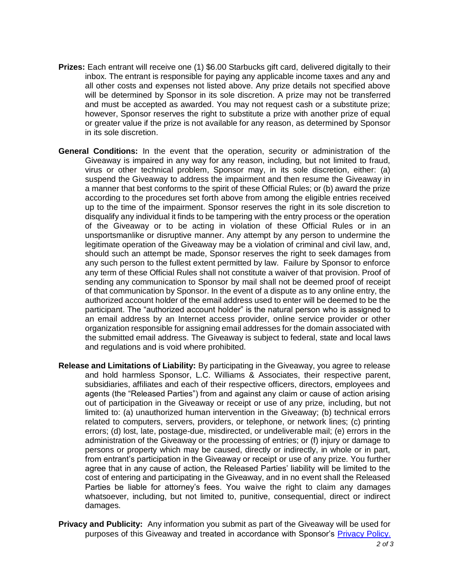- **Prizes:** Each entrant will receive one (1) \$6.00 Starbucks gift card, delivered digitally to their inbox. The entrant is responsible for paying any applicable income taxes and any and all other costs and expenses not listed above. Any prize details not specified above will be determined by Sponsor in its sole discretion. A prize may not be transferred and must be accepted as awarded. You may not request cash or a substitute prize; however, Sponsor reserves the right to substitute a prize with another prize of equal or greater value if the prize is not available for any reason, as determined by Sponsor in its sole discretion.
- **General Conditions:** In the event that the operation, security or administration of the Giveaway is impaired in any way for any reason, including, but not limited to fraud, virus or other technical problem, Sponsor may, in its sole discretion, either: (a) suspend the Giveaway to address the impairment and then resume the Giveaway in a manner that best conforms to the spirit of these Official Rules; or (b) award the prize according to the procedures set forth above from among the eligible entries received up to the time of the impairment. Sponsor reserves the right in its sole discretion to disqualify any individual it finds to be tampering with the entry process or the operation of the Giveaway or to be acting in violation of these Official Rules or in an unsportsmanlike or disruptive manner. Any attempt by any person to undermine the legitimate operation of the Giveaway may be a violation of criminal and civil law, and, should such an attempt be made, Sponsor reserves the right to seek damages from any such person to the fullest extent permitted by law. Failure by Sponsor to enforce any term of these Official Rules shall not constitute a waiver of that provision. Proof of sending any communication to Sponsor by mail shall not be deemed proof of receipt of that communication by Sponsor. In the event of a dispute as to any online entry, the authorized account holder of the email address used to enter will be deemed to be the participant. The "authorized account holder" is the natural person who is assigned to an email address by an Internet access provider, online service provider or other organization responsible for assigning email addresses for the domain associated with the submitted email address. The Giveaway is subject to federal, state and local laws and regulations and is void where prohibited.
- **Release and Limitations of Liability:** By participating in the Giveaway, you agree to release and hold harmless Sponsor, L.C. Williams & Associates, their respective parent, subsidiaries, affiliates and each of their respective officers, directors, employees and agents (the "Released Parties") from and against any claim or cause of action arising out of participation in the Giveaway or receipt or use of any prize, including, but not limited to: (a) unauthorized human intervention in the Giveaway; (b) technical errors related to computers, servers, providers, or telephone, or network lines; (c) printing errors; (d) lost, late, postage-due, misdirected, or undeliverable mail; (e) errors in the administration of the Giveaway or the processing of entries; or (f) injury or damage to persons or property which may be caused, directly or indirectly, in whole or in part, from entrant's participation in the Giveaway or receipt or use of any prize. You further agree that in any cause of action, the Released Parties' liability will be limited to the cost of entering and participating in the Giveaway, and in no event shall the Released Parties be liable for attorney's fees. You waive the right to claim any damages whatsoever, including, but not limited to, punitive, consequential, direct or indirect damages.
- **Privacy and Publicity:** Any information you submit as part of the Giveaway will be used for purposes of this Giveaway and treated in accordance with Sponsor's [Privacy Policy.](http://www.trex.com/popup/TREXD_000328)